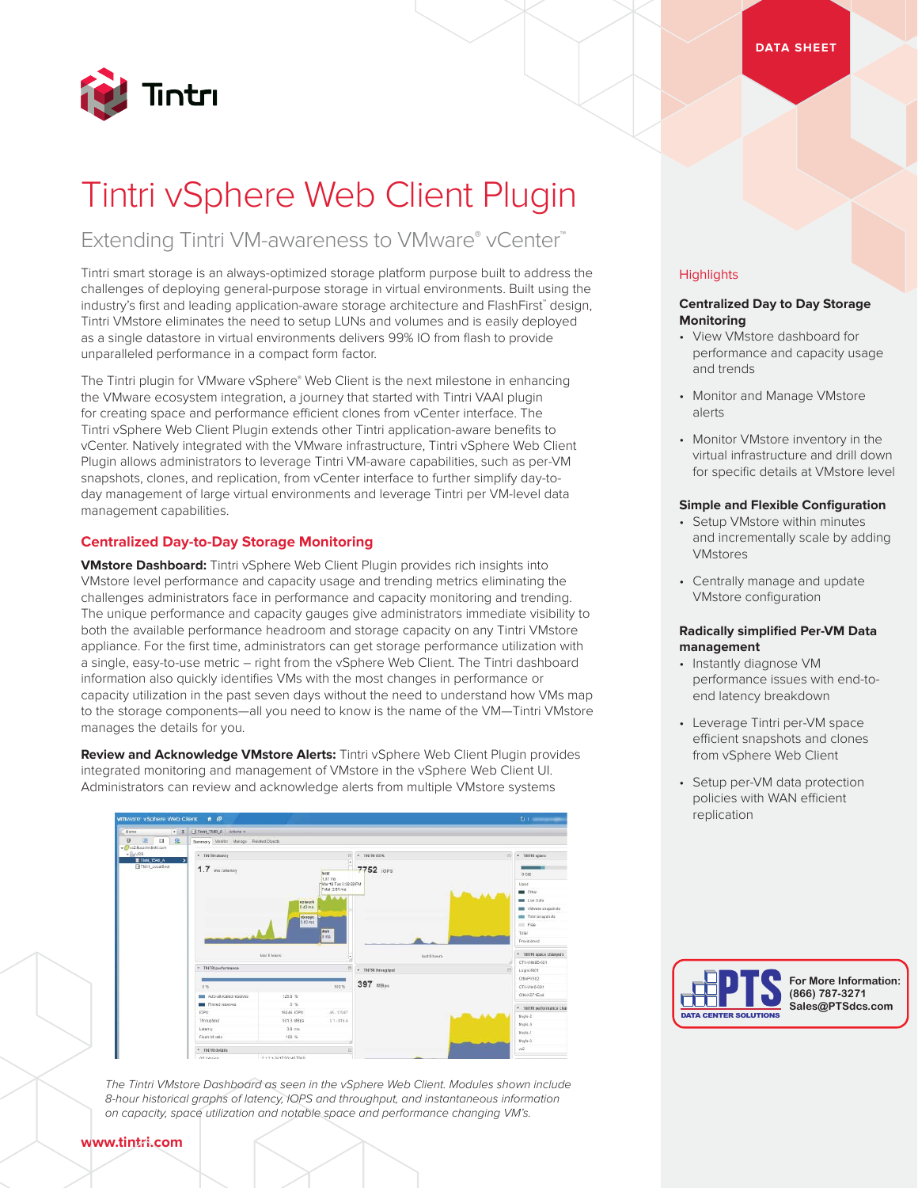

# Tintri vSphere Web Client Plugin

### Extending Tintri VM-awareness to VMware® vCenter™

Tintri smart storage is an always-optimized storage platform purpose built to address the challenges of deploying general-purpose storage in virtual environments. Built using the industry's first and leading application-aware storage architecture and FlashFirst™ design, Tintri VMstore eliminates the need to setup LUNs and volumes and is easily deployed as a single datastore in virtual environments delivers 99% IO from flash to provide unparalleled performance in a compact form factor.

The Tintri plugin for VMware vSphere® Web Client is the next milestone in enhancing the VMware ecosystem integration, a journey that started with Tintri VAAI plugin for creating space and performance efficient clones from vCenter interface. The Tintri vSphere Web Client Plugin extends other Tintri application-aware benefits to vCenter. Natively integrated with the VMware infrastructure, Tintri vSphere Web Client Plugin allows administrators to leverage Tintri VM-aware capabilities, such as per-VM snapshots, clones, and replication, from vCenter interface to further simplify day-today management of large virtual environments and leverage Tintri per VM-level data management capabilities.

#### **Centralized Day-to-Day Storage Monitoring**

**VMstore Dashboard:** Tintri vSphere Web Client Plugin provides rich insights into VMstore level performance and capacity usage and trending metrics eliminating the challenges administrators face in performance and capacity monitoring and trending. The unique performance and capacity gauges give administrators immediate visibility to both the available performance headroom and storage capacity on any Tintri VMstore appliance. For the first time, administrators can get storage performance utilization with a single, easy-to-use metric – right from the vSphere Web Client. The Tintri dashboard information also quickly identifies VMs with the most changes in performance or capacity utilization in the past seven days without the need to understand how VMs map to the storage components—all you need to know is the name of the VM—Tintri VMstore manages the details for you.

**Review and Acknowledge VMstore Alerts:** Tintri vSphere Web Client Plugin provides integrated monitoring and management of VMstore in the vSphere Web Client UI. Administrators can review and acknowledge alerts from multiple VMstore systems



*The Tintri VMstore Dashboard as seen in the vSphere Web Client. Modules shown include 8-hour historical graphs of latency, IOPS and throughput, and instantaneous information on capacity, space utilization and notable space and performance changing VM's.*

#### **Highlights**

#### **Centralized Day to Day Storage Monitoring**

- View VMstore dashboard for performance and capacity usage and trends
- Monitor and Manage VMstore alerts
- Monitor VMstore inventory in the virtual infrastructure and drill down for specific details at VMstore level

#### **Simple and Flexible Configuration**

- Setup VMstore within minutes and incrementally scale by adding VMstores
- Centrally manage and update VMstore configuration

#### **Radically simplified Per-VM Data management**

- Instantly diagnose VM performance issues with end-toend latency breakdown
- Leverage Tintri per-VM space efficient snapshots and clones from vSphere Web Client
- Setup per-VM data protection policies with WAN efficient replication



#### **www.tintri.com**